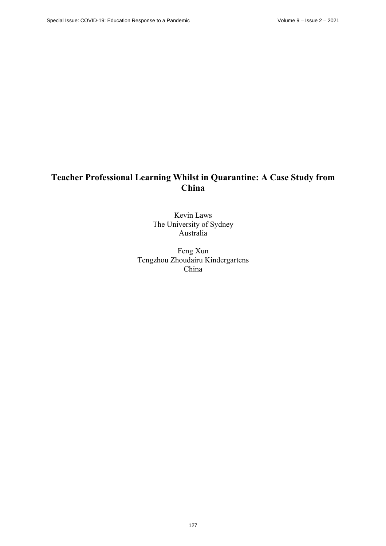# **Teacher Professional Learning Whilst in Quarantine: A Case Study from China**

Kevin Laws The University of Sydney Australia

Feng Xun Tengzhou Zhoudairu Kindergartens China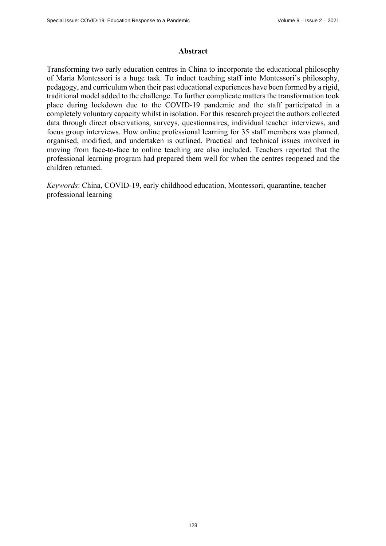#### **Abstract**

Transforming two early education centres in China to incorporate the educational philosophy of Maria Montessori is a huge task. To induct teaching staff into Montessori's philosophy, pedagogy, and curriculum when their past educational experiences have been formed by a rigid, traditional model added to the challenge. To further complicate matters the transformation took place during lockdown due to the COVID-19 pandemic and the staff participated in a completely voluntary capacity whilst in isolation. For this research project the authors collected data through direct observations, surveys, questionnaires, individual teacher interviews, and focus group interviews. How online professional learning for 35 staff members was planned, organised, modified, and undertaken is outlined. Practical and technical issues involved in moving from face-to-face to online teaching are also included. Teachers reported that the professional learning program had prepared them well for when the centres reopened and the children returned.

*Keywords*: China, COVID-19, early childhood education, Montessori, quarantine, teacher professional learning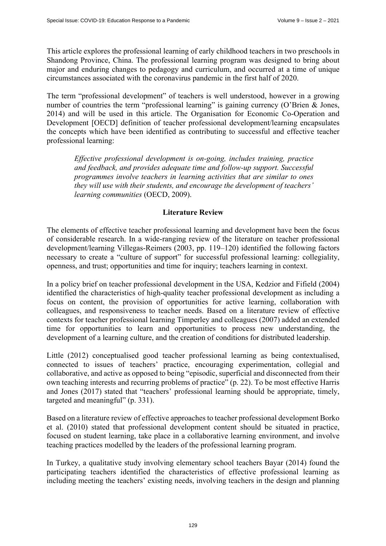This article explores the professional learning of early childhood teachers in two preschools in Shandong Province, China. The professional learning program was designed to bring about major and enduring changes to pedagogy and curriculum, and occurred at a time of unique circumstances associated with the coronavirus pandemic in the first half of 2020.

The term "professional development" of teachers is well understood, however in a growing number of countries the term "professional learning" is gaining currency (O'Brien & Jones, 2014) and will be used in this article. The Organisation for Economic Co-Operation and Development [OECD] definition of teacher professional development/learning encapsulates the concepts which have been identified as contributing to successful and effective teacher professional learning:

*Effective professional development is on-going, includes training, practice and feedback, and provides adequate time and follow-up support. Successful programmes involve teachers in learning activities that are similar to ones they will use with their students, and encourage the development of teachers' learning communities* (OECD, 2009).

## **Literature Review**

The elements of effective teacher professional learning and development have been the focus of considerable research. In a wide-ranging review of the literature on teacher professional development/learning Villegas-Reimers (2003, pp. 119–120) identified the following factors necessary to create a "culture of support" for successful professional learning: collegiality, openness, and trust; opportunities and time for inquiry; teachers learning in context.

In a policy brief on teacher professional development in the USA, Kedzior and Fifield (2004) identified the characteristics of high-quality teacher professional development as including a focus on content, the provision of opportunities for active learning, collaboration with colleagues, and responsiveness to teacher needs. Based on a literature review of effective contexts for teacher professional learning Timperley and colleagues (2007) added an extended time for opportunities to learn and opportunities to process new understanding, the development of a learning culture, and the creation of conditions for distributed leadership.

Little (2012) conceptualised good teacher professional learning as being contextualised, connected to issues of teachers' practice, encouraging experimentation, collegial and collaborative, and active as opposed to being "episodic, superficial and disconnected from their own teaching interests and recurring problems of practice" (p. 22). To be most effective Harris and Jones (2017) stated that "teachers' professional learning should be appropriate, timely, targeted and meaningful" (p. 331).

Based on a literature review of effective approaches to teacher professional development Borko et al. (2010) stated that professional development content should be situated in practice, focused on student learning, take place in a collaborative learning environment, and involve teaching practices modelled by the leaders of the professional learning program.

In Turkey, a qualitative study involving elementary school teachers Bayar (2014) found the participating teachers identified the characteristics of effective professional learning as including meeting the teachers' existing needs, involving teachers in the design and planning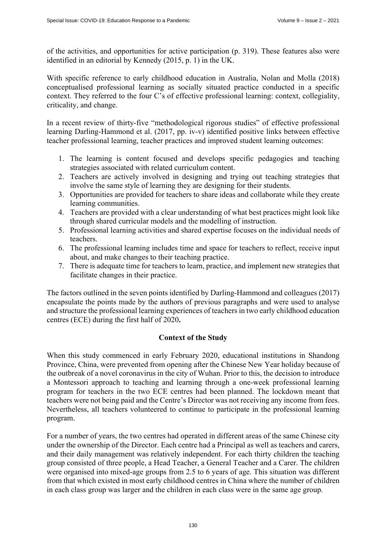of the activities, and opportunities for active participation (p. 319). These features also were identified in an editorial by Kennedy (2015, p. 1) in the UK.

With specific reference to early childhood education in Australia, Nolan and Molla (2018) conceptualised professional learning as socially situated practice conducted in a specific context. They referred to the four C's of effective professional learning: context, collegiality, criticality, and change.

In a recent review of thirty-five "methodological rigorous studies" of effective professional learning Darling-Hammond et al. (2017, pp. iv-v) identified positive links between effective teacher professional learning, teacher practices and improved student learning outcomes:

- 1. The learning is content focused and develops specific pedagogies and teaching strategies associated with related curriculum content.
- 2. Teachers are actively involved in designing and trying out teaching strategies that involve the same style of learning they are designing for their students.
- 3. Opportunities are provided for teachers to share ideas and collaborate while they create learning communities.
- 4. Teachers are provided with a clear understanding of what best practices might look like through shared curricular models and the modelling of instruction.
- 5. Professional learning activities and shared expertise focuses on the individual needs of teachers.
- 6. The professional learning includes time and space for teachers to reflect, receive input about, and make changes to their teaching practice.
- 7. There is adequate time for teachers to learn, practice, and implement new strategies that facilitate changes in their practice.

The factors outlined in the seven points identified by Darling-Hammond and colleagues (2017) encapsulate the points made by the authors of previous paragraphs and were used to analyse and structure the professional learning experiences of teachers in two early childhood education centres (ECE) during the first half of 2020**.**

## **Context of the Study**

When this study commenced in early February 2020, educational institutions in Shandong Province, China, were prevented from opening after the Chinese New Year holiday because of the outbreak of a novel coronavirus in the city of Wuhan. Prior to this, the decision to introduce a Montessori approach to teaching and learning through a one-week professional learning program for teachers in the two ECE centres had been planned. The lockdown meant that teachers were not being paid and the Centre's Director was not receiving any income from fees. Nevertheless, all teachers volunteered to continue to participate in the professional learning program.

For a number of years, the two centres had operated in different areas of the same Chinese city under the ownership of the Director. Each centre had a Principal as well as teachers and carers, and their daily management was relatively independent. For each thirty children the teaching group consisted of three people, a Head Teacher, a General Teacher and a Carer. The children were organised into mixed-age groups from 2.5 to 6 years of age. This situation was different from that which existed in most early childhood centres in China where the number of children in each class group was larger and the children in each class were in the same age group.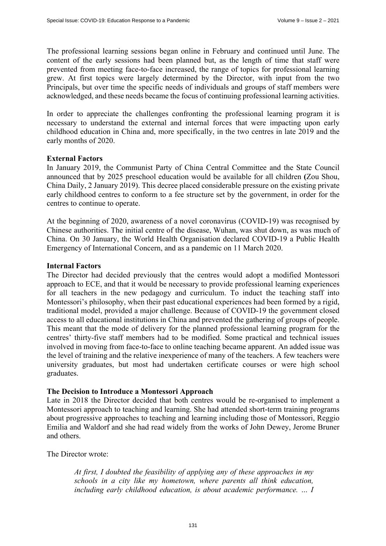The professional learning sessions began online in February and continued until June. The content of the early sessions had been planned but, as the length of time that staff were prevented from meeting face-to-face increased, the range of topics for professional learning grew. At first topics were largely determined by the Director, with input from the two Principals, but over time the specific needs of individuals and groups of staff members were acknowledged, and these needs became the focus of continuing professional learning activities.

In order to appreciate the challenges confronting the professional learning program it is necessary to understand the external and internal forces that were impacting upon early childhood education in China and, more specifically, in the two centres in late 2019 and the early months of 2020.

## **External Factors**

In January 2019, the Communist Party of China Central Committee and the State Council announced that by 2025 preschool education would be available for all children **(**Zou Shou, China Daily, 2 January 2019). This decree placed considerable pressure on the existing private early childhood centres to conform to a fee structure set by the government, in order for the centres to continue to operate.

At the beginning of 2020, awareness of a novel coronavirus (COVID-19) was recognised by Chinese authorities. The initial centre of the disease, Wuhan, was shut down, as was much of China. On 30 January, the World Health Organisation declared COVID-19 a Public Health Emergency of International Concern, and as a pandemic on 11 March 2020.

## **Internal Factors**

The Director had decided previously that the centres would adopt a modified Montessori approach to ECE, and that it would be necessary to provide professional learning experiences for all teachers in the new pedagogy and curriculum. To induct the teaching staff into Montessori's philosophy, when their past educational experiences had been formed by a rigid, traditional model, provided a major challenge. Because of COVID-19 the government closed access to all educational institutions in China and prevented the gathering of groups of people. This meant that the mode of delivery for the planned professional learning program for the centres' thirty-five staff members had to be modified. Some practical and technical issues involved in moving from face-to-face to online teaching became apparent. An added issue was the level of training and the relative inexperience of many of the teachers. A few teachers were university graduates, but most had undertaken certificate courses or were high school graduates.

## **The Decision to Introduce a Montessori Approach**

Late in 2018 the Director decided that both centres would be re-organised to implement a Montessori approach to teaching and learning. She had attended short-term training programs about progressive approaches to teaching and learning including those of Montessori, Reggio Emilia and Waldorf and she had read widely from the works of John Dewey, Jerome Bruner and others.

The Director wrote:

*At first, I doubted the feasibility of applying any of these approaches in my schools in a city like my hometown, where parents all think education, including early childhood education, is about academic performance. ... I*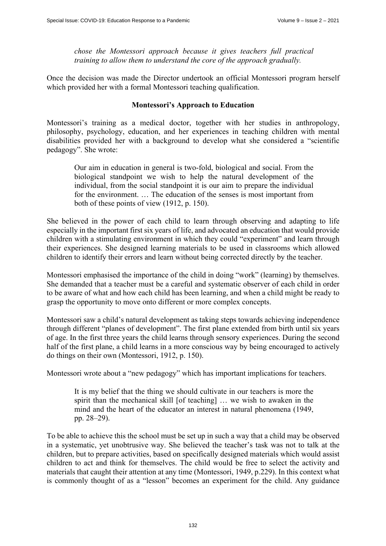*chose the Montessori approach because it gives teachers full practical training to allow them to understand the core of the approach gradually.* 

Once the decision was made the Director undertook an official Montessori program herself which provided her with a formal Montessori teaching qualification.

## **Montessori's Approach to Education**

Montessori's training as a medical doctor, together with her studies in anthropology, philosophy, psychology, education, and her experiences in teaching children with mental disabilities provided her with a background to develop what she considered a "scientific pedagogy". She wrote:

Our aim in education in general is two-fold, biological and social. From the biological standpoint we wish to help the natural development of the individual, from the social standpoint it is our aim to prepare the individual for the environment. … The education of the senses is most important from both of these points of view (1912, p. 150).

She believed in the power of each child to learn through observing and adapting to life especially in the important first six years of life, and advocated an education that would provide children with a stimulating environment in which they could "experiment" and learn through their experiences. She designed learning materials to be used in classrooms which allowed children to identify their errors and learn without being corrected directly by the teacher.

Montessori emphasised the importance of the child in doing "work" (learning) by themselves. She demanded that a teacher must be a careful and systematic observer of each child in order to be aware of what and how each child has been learning, and when a child might be ready to grasp the opportunity to move onto different or more complex concepts.

Montessori saw a child's natural development as taking steps towards achieving independence through different "planes of development". The first plane extended from birth until six years of age. In the first three years the child learns through sensory experiences. During the second half of the first plane, a child learns in a more conscious way by being encouraged to actively do things on their own (Montessori, 1912, p. 150).

Montessori wrote about a "new pedagogy" which has important implications for teachers.

It is my belief that the thing we should cultivate in our teachers is more the spirit than the mechanical skill [of teaching] … we wish to awaken in the mind and the heart of the educator an interest in natural phenomena (1949, pp. 28–29).

To be able to achieve this the school must be set up in such a way that a child may be observed in a systematic, yet unobtrusive way. She believed the teacher's task was not to talk at the children, but to prepare activities, based on specifically designed materials which would assist children to act and think for themselves. The child would be free to select the activity and materials that caught their attention at any time (Montessori, 1949, p.229). In this context what is commonly thought of as a "lesson" becomes an experiment for the child. Any guidance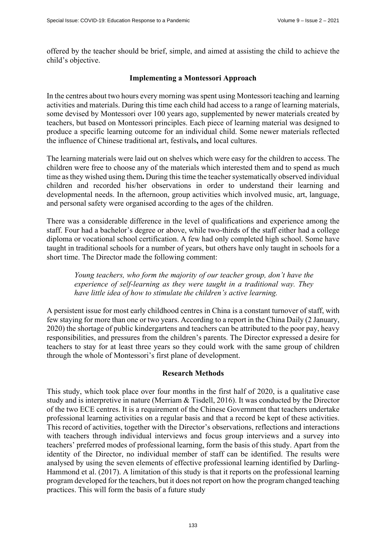offered by the teacher should be brief, simple, and aimed at assisting the child to achieve the child's objective.

## **Implementing a Montessori Approach**

In the centres about two hours every morning was spent using Montessori teaching and learning activities and materials. During this time each child had access to a range of learning materials, some devised by Montessori over 100 years ago, supplemented by newer materials created by teachers, but based on Montessori principles. Each piece of learning material was designed to produce a specific learning outcome for an individual child. Some newer materials reflected the influence of Chinese traditional art, festivals**,** and local cultures.

The learning materials were laid out on shelves which were easy for the children to access. The children were free to choose any of the materials which interested them and to spend as much time as they wished using them**.** During this time the teacher systematically observed individual children and recorded his/her observations in order to understand their learning and developmental needs. In the afternoon, group activities which involved music, art, language, and personal safety were organised according to the ages of the children.

There was a considerable difference in the level of qualifications and experience among the staff. Four had a bachelor's degree or above, while two-thirds of the staff either had a college diploma or vocational school certification. A few had only completed high school. Some have taught in traditional schools for a number of years, but others have only taught in schools for a short time. The Director made the following comment:

*Young teachers, who form the majority of our teacher group, don't have the experience of self-learning as they were taught in a traditional way. They have little idea of how to stimulate the children's active learning.* 

A persistent issue for most early childhood centres in China is a constant turnover of staff, with few staying for more than one or two years. According to a report in the China Daily (2 January, 2020) the shortage of public kindergartens and teachers can be attributed to the poor pay, heavy responsibilities, and pressures from the children's parents. The Director expressed a desire for teachers to stay for at least three years so they could work with the same group of children through the whole of Montessori's first plane of development.

## **Research Methods**

This study, which took place over four months in the first half of 2020, is a qualitative case study and is interpretive in nature (Merriam & Tisdell, 2016). It was conducted by the Director of the two ECE centres. It is a requirement of the Chinese Government that teachers undertake professional learning activities on a regular basis and that a record be kept of these activities. This record of activities, together with the Director's observations, reflections and interactions with teachers through individual interviews and focus group interviews and a survey into teachers' preferred modes of professional learning, form the basis of this study. Apart from the identity of the Director, no individual member of staff can be identified. The results were analysed by using the seven elements of effective professional learning identified by Darling-Hammond et al. (2017). A limitation of this study is that it reports on the professional learning program developed for the teachers, but it does not report on how the program changed teaching practices. This will form the basis of a future study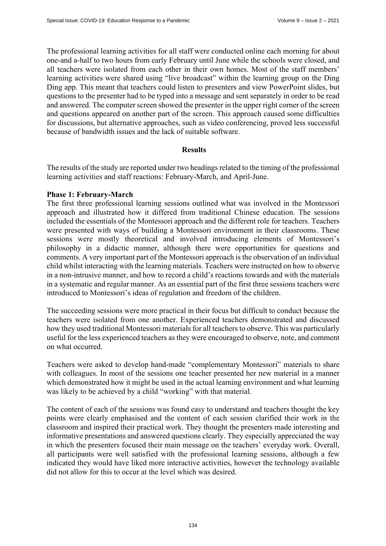The professional learning activities for all staff were conducted online each morning for about one-and a-half to two hours from early February until June while the schools were closed, and all teachers were isolated from each other in their own homes. Most of the staff members' learning activities were shared using "live broadcast" within the learning group on the Ding Ding app. This meant that teachers could listen to presenters and view PowerPoint slides, but questions to the presenter had to be typed into a message and sent separately in order to be read and answered. The computer screen showed the presenter in the upper right corner of the screen and questions appeared on another part of the screen. This approach caused some difficulties for discussions, but alternative approaches, such as video conferencing, proved less successful because of bandwidth issues and the lack of suitable software.

#### **Results**

The results of the study are reported under two headings related to the timing of the professional learning activities and staff reactions: February-March, and April-June.

#### **Phase 1: February-March**

The first three professional learning sessions outlined what was involved in the Montessori approach and illustrated how it differed from traditional Chinese education. The sessions included the essentials of the Montessori approach and the different role for teachers. Teachers were presented with ways of building a Montessori environment in their classrooms. These sessions were mostly theoretical and involved introducing elements of Montessori's philosophy in a didactic manner, although there were opportunities for questions and comments. A very important part of the Montessori approach is the observation of an individual child whilst interacting with the learning materials. Teachers were instructed on how to observe in a non-intrusive manner, and how to record a child's reactions towards and with the materials in a systematic and regular manner. As an essential part of the first three sessions teachers were introduced to Montessori's ideas of regulation and freedom of the children.

The succeeding sessions were more practical in their focus but difficult to conduct because the teachers were isolated from one another. Experienced teachers demonstrated and discussed how they used traditional Montessori materials for all teachers to observe. This was particularly useful for the less experienced teachers as they were encouraged to observe, note, and comment on what occurred.

Teachers were asked to develop hand-made "complementary Montessori" materials to share with colleagues. In most of the sessions one teacher presented her new material in a manner which demonstrated how it might be used in the actual learning environment and what learning was likely to be achieved by a child "working" with that material.

The content of each of the sessions was found easy to understand and teachers thought the key points were clearly emphasised and the content of each session clarified their work in the classroom and inspired their practical work. They thought the presenters made interesting and informative presentations and answered questions clearly. They especially appreciated the way in which the presenters focused their main message on the teachers' everyday work. Overall, all participants were well satisfied with the professional learning sessions, although a few indicated they would have liked more interactive activities, however the technology available did not allow for this to occur at the level which was desired.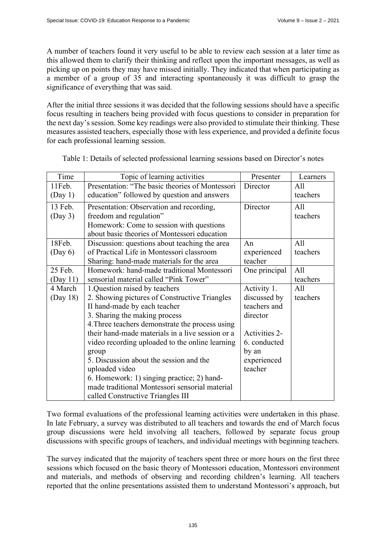A number of teachers found it very useful to be able to review each session at a later time as this allowed them to clarify their thinking and reflect upon the important messages, as well as picking up on points they may have missed initially. They indicated that when participating as a member of a group of 35 and interacting spontaneously it was difficult to grasp the significance of everything that was said.

After the initial three sessions it was decided that the following sessions should have a specific focus resulting in teachers being provided with focus questions to consider in preparation for the next day's session. Some key readings were also provided to stimulate their thinking. These measures assisted teachers, especially those with less experience, and provided a definite focus for each professional learning session.

| Time      | Topic of learning activities                     | Presenter     | Learners |
|-----------|--------------------------------------------------|---------------|----------|
| $11$ Feb. | Presentation: "The basic theories of Montessori  | Director      | All      |
| (Day 1)   | education" followed by question and answers      |               | teachers |
| 13 Feb.   | Presentation: Observation and recording,         | Director      |          |
| (Day 3)   | freedom and regulation"                          |               | teachers |
|           | Homework: Come to session with questions         |               |          |
|           | about basic theories of Montessori education     |               |          |
| 18Feb.    | Discussion: questions about teaching the area    | An            | All      |
| (Day 6)   | of Practical Life in Montessori classroom        | experienced   | teachers |
|           | Sharing: hand-made materials for the area        | teacher       |          |
| 25 Feb.   | Homework: hand-made traditional Montessori       | One principal | All      |
| (Day 11)  | sensorial material called "Pink Tower"           |               | teachers |
| 4 March   | 1.Question raised by teachers                    | Activity 1.   | All      |
| (Day 18)  | 2. Showing pictures of Constructive Triangles    | discussed by  | teachers |
|           | II hand-made by each teacher                     | teachers and  |          |
|           | 3. Sharing the making process                    | director      |          |
|           | 4. Three teachers demonstrate the process using  |               |          |
|           | their hand-made materials in a live session or a | Activities 2- |          |
|           | video recording uploaded to the online learning  | 6. conducted  |          |
|           | group                                            | by an         |          |
|           | 5. Discussion about the session and the          | experienced   |          |
|           | uploaded video                                   | teacher       |          |
|           | 6. Homework: 1) singing practice; 2) hand-       |               |          |
|           | made traditional Montessori sensorial material   |               |          |
|           | called Constructive Triangles III                |               |          |

Table 1: Details of selected professional learning sessions based on Director's notes

Two formal evaluations of the professional learning activities were undertaken in this phase. In late February, a survey was distributed to all teachers and towards the end of March focus group discussions were held involving all teachers, followed by separate focus group discussions with specific groups of teachers, and individual meetings with beginning teachers.

The survey indicated that the majority of teachers spent three or more hours on the first three sessions which focused on the basic theory of Montessori education, Montessori environment and materials, and methods of observing and recording children's learning. All teachers reported that the online presentations assisted them to understand Montessori's approach, but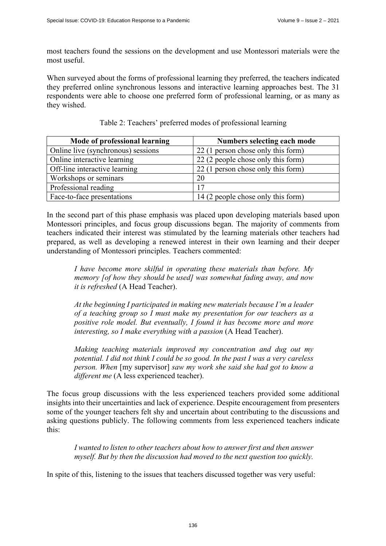most teachers found the sessions on the development and use Montessori materials were the most useful.

When surveyed about the forms of professional learning they preferred, the teachers indicated they preferred online synchronous lessons and interactive learning approaches best. The 31 respondents were able to choose one preferred form of professional learning, or as many as they wished.

| Mode of professional learning      | Numbers selecting each mode        |
|------------------------------------|------------------------------------|
| Online live (synchronous) sessions | 22 (1 person chose only this form) |
| Online interactive learning        | 22 (2 people chose only this form) |
| Off-line interactive learning      | 22 (1 person chose only this form) |
| Workshops or seminars              | 20                                 |
| Professional reading               | 17                                 |
| Face-to-face presentations         | 14 (2 people chose only this form) |

|  | Table 2: Teachers' preferred modes of professional learning |  |  |
|--|-------------------------------------------------------------|--|--|
|  |                                                             |  |  |
|  |                                                             |  |  |

In the second part of this phase emphasis was placed upon developing materials based upon Montessori principles, and focus group discussions began. The majority of comments from teachers indicated their interest was stimulated by the learning materials other teachers had prepared, as well as developing a renewed interest in their own learning and their deeper understanding of Montessori principles. Teachers commented:

*I have become more skilful in operating these materials than before. My memory [of how they should be used] was somewhat fading away, and now it is refreshed* (A Head Teacher).

*At the beginning I participated in making new materials because I'm a leader of a teaching group so I must make my presentation for our teachers as a positive role model. But eventually, I found it has become more and more interesting, so I make everything with a passion* (A Head Teacher).

*Making teaching materials improved my concentration and dug out my potential. I did not think I could be so good. In the past I was a very careless person. When* [my supervisor] *saw my work she said she had got to know a different me* (A less experienced teacher).

The focus group discussions with the less experienced teachers provided some additional insights into their uncertainties and lack of experience. Despite encouragement from presenters some of the younger teachers felt shy and uncertain about contributing to the discussions and asking questions publicly. The following comments from less experienced teachers indicate this:

*I wanted to listen to other teachers about how to answer first and then answer myself. But by then the discussion had moved to the next question too quickly.* 

In spite of this, listening to the issues that teachers discussed together was very useful: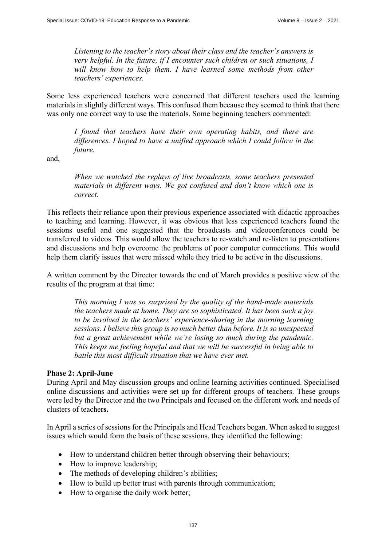*Listening to the teacher's story about their class and the teacher's answers is very helpful. In the future, if I encounter such children or such situations, I*  will know how to help them. I have learned some methods from other *teachers' experiences.* 

Some less experienced teachers were concerned that different teachers used the learning materials in slightly different ways. This confused them because they seemed to think that there was only one correct way to use the materials. Some beginning teachers commented:

*I found that teachers have their own operating habits, and there are differences. I hoped to have a unified approach which I could follow in the future.* 

and,

*When we watched the replays of live broadcasts, some teachers presented materials in different ways. We got confused and don't know which one is correct.* 

This reflects their reliance upon their previous experience associated with didactic approaches to teaching and learning. However, it was obvious that less experienced teachers found the sessions useful and one suggested that the broadcasts and videoconferences could be transferred to videos. This would allow the teachers to re-watch and re-listen to presentations and discussions and help overcome the problems of poor computer connections. This would help them clarify issues that were missed while they tried to be active in the discussions.

A written comment by the Director towards the end of March provides a positive view of the results of the program at that time:

*This morning I was so surprised by the quality of the hand-made materials the teachers made at home. They are so sophisticated. It has been such a joy to be involved in the teachers' experience-sharing in the morning learning sessions. I believe this group is so much better than before. It is so unexpected but a great achievement while we're losing so much during the pandemic. This keeps me feeling hopeful and that we will be successful in being able to battle this most difficult situation that we have ever met.* 

## **Phase 2: April-June**

During April and May discussion groups and online learning activities continued. Specialised online discussions and activities were set up for different groups of teachers. These groups were led by the Director and the two Principals and focused on the different work and needs of clusters of teacher**s.**

In April a series of sessions for the Principals and Head Teachers began. When asked to suggest issues which would form the basis of these sessions, they identified the following:

- How to understand children better through observing their behaviours;
- How to improve leadership;
- The methods of developing children's abilities;
- How to build up better trust with parents through communication;
- How to organise the daily work better;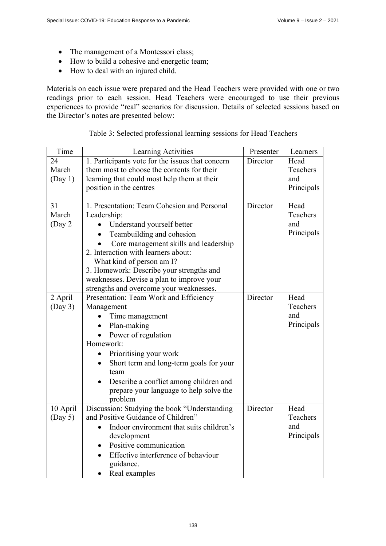- The management of a Montessori class;
- How to build a cohesive and energetic team;
- How to deal with an injured child.

Materials on each issue were prepared and the Head Teachers were provided with one or two readings prior to each session. Head Teachers were encouraged to use their previous experiences to provide "real" scenarios for discussion. Details of selected sessions based on the Director's notes are presented below:

| Time     | Learning Activities                              | Presenter | Learners   |
|----------|--------------------------------------------------|-----------|------------|
| 24       | 1. Participants vote for the issues that concern | Director  | Head       |
| March    | them most to choose the contents for their       |           | Teachers   |
| (Day 1)  | learning that could most help them at their      |           | and        |
|          | position in the centres                          |           | Principals |
|          |                                                  |           |            |
| 31       | 1. Presentation: Team Cohesion and Personal      | Director  | Head       |
| March    | Leadership:                                      |           | Teachers   |
| (Day 2)  | Understand yourself better                       |           | and        |
|          | Teambuilding and cohesion                        |           | Principals |
|          | Core management skills and leadership            |           |            |
|          | 2. Interaction with learners about:              |           |            |
|          | What kind of person am I?                        |           |            |
|          | 3. Homework: Describe your strengths and         |           |            |
|          | weaknesses. Devise a plan to improve your        |           |            |
|          | strengths and overcome your weaknesses.          |           |            |
| 2 April  | Presentation: Team Work and Efficiency           | Director  | Head       |
| (Day 3)  | Management                                       |           | Teachers   |
|          | Time management                                  |           | and        |
|          | Plan-making                                      |           | Principals |
|          | Power of regulation                              |           |            |
|          | Homework:                                        |           |            |
|          | Prioritising your work                           |           |            |
|          | Short term and long-term goals for your          |           |            |
|          | team                                             |           |            |
|          | Describe a conflict among children and           |           |            |
|          | prepare your language to help solve the          |           |            |
|          | problem                                          |           |            |
| 10 April | Discussion: Studying the book "Understanding     | Director  | Head       |
| (Day 5)  | and Positive Guidance of Children"               |           | Teachers   |
|          | Indoor environment that suits children's         |           | and        |
|          | development                                      |           | Principals |
|          | Positive communication                           |           |            |
|          | Effective interference of behaviour              |           |            |
|          | guidance.                                        |           |            |
|          | Real examples                                    |           |            |

## Table 3: Selected professional learning sessions for Head Teachers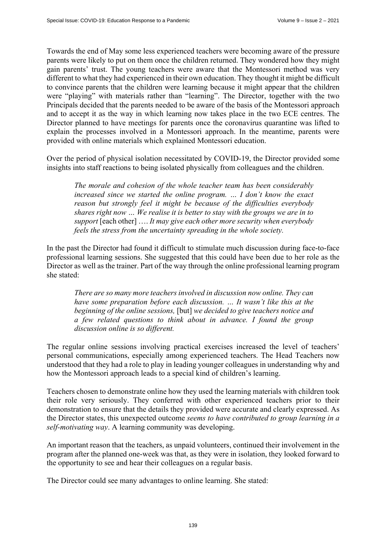Towards the end of May some less experienced teachers were becoming aware of the pressure parents were likely to put on them once the children returned. They wondered how they might gain parents' trust. The young teachers were aware that the Montessori method was very different to what they had experienced in their own education. They thought it might be difficult to convince parents that the children were learning because it might appear that the children were "playing" with materials rather than "learning". The Director, together with the two Principals decided that the parents needed to be aware of the basis of the Montessori approach and to accept it as the way in which learning now takes place in the two ECE centres. The Director planned to have meetings for parents once the coronavirus quarantine was lifted to explain the processes involved in a Montessori approach. In the meantime, parents were provided with online materials which explained Montessori education.

Over the period of physical isolation necessitated by COVID-19, the Director provided some insights into staff reactions to being isolated physically from colleagues and the children.

*The morale and cohesion of the whole teacher team has been considerably increased since we started the online program. … I don't know the exact reason but strongly feel it might be because of the difficulties everybody shares right now … We realise it is better to stay with the groups we are in to support* [each other] …. *It may give each other more security when everybody feels the stress from the uncertainty spreading in the whole society.* 

In the past the Director had found it difficult to stimulate much discussion during face-to-face professional learning sessions. She suggested that this could have been due to her role as the Director as well as the trainer. Part of the way through the online professional learning program she stated:

*There are so many more teachers involved in discussion now online. They can have some preparation before each discussion. … It wasn't like this at the beginning of the online sessions,* [but] *we decided to give teachers notice and a few related questions to think about in advance. I found the group discussion online is so different.* 

The regular online sessions involving practical exercises increased the level of teachers' personal communications, especially among experienced teachers. The Head Teachers now understood that they had a role to play in leading younger colleagues in understanding why and how the Montessori approach leads to a special kind of children's learning.

Teachers chosen to demonstrate online how they used the learning materials with children took their role very seriously. They conferred with other experienced teachers prior to their demonstration to ensure that the details they provided were accurate and clearly expressed. As the Director states, this unexpected outcome *seems to have contributed to group learning in a self-motivating way*. A learning community was developing.

An important reason that the teachers, as unpaid volunteers, continued their involvement in the program after the planned one-week was that, as they were in isolation, they looked forward to the opportunity to see and hear their colleagues on a regular basis.

The Director could see many advantages to online learning. She stated: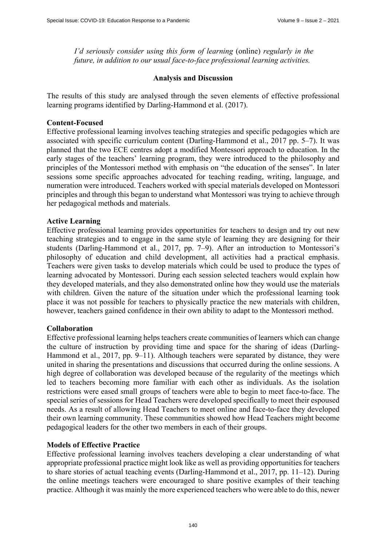*I'd seriously consider using this form of learning* (online) *regularly in the future, in addition to our usual face-to-face professional learning activities.*

#### **Analysis and Discussion**

The results of this study are analysed through the seven elements of effective professional learning programs identified by Darling-Hammond et al. (2017).

## **Content-Focused**

Effective professional learning involves teaching strategies and specific pedagogies which are associated with specific curriculum content (Darling-Hammond et al., 2017 pp. 5–7). It was planned that the two ECE centres adopt a modified Montessori approach to education. In the early stages of the teachers' learning program, they were introduced to the philosophy and principles of the Montessori method with emphasis on "the education of the senses". In later sessions some specific approaches advocated for teaching reading, writing, language, and numeration were introduced. Teachers worked with special materials developed on Montessori principles and through this began to understand what Montessori was trying to achieve through her pedagogical methods and materials.

## **Active Learning**

Effective professional learning provides opportunities for teachers to design and try out new teaching strategies and to engage in the same style of learning they are designing for their students (Darling-Hammond et al., 2017, pp. 7–9). After an introduction to Montessori's philosophy of education and child development, all activities had a practical emphasis. Teachers were given tasks to develop materials which could be used to produce the types of learning advocated by Montessori. During each session selected teachers would explain how they developed materials, and they also demonstrated online how they would use the materials with children. Given the nature of the situation under which the professional learning took place it was not possible for teachers to physically practice the new materials with children, however, teachers gained confidence in their own ability to adapt to the Montessori method.

## **Collaboration**

Effective professional learning helps teachers create communities of learners which can change the culture of instruction by providing time and space for the sharing of ideas (Darling-Hammond et al., 2017, pp. 9–11). Although teachers were separated by distance, they were united in sharing the presentations and discussions that occurred during the online sessions. A high degree of collaboration was developed because of the regularity of the meetings which led to teachers becoming more familiar with each other as individuals. As the isolation restrictions were eased small groups of teachers were able to begin to meet face-to-face. The special series of sessions for Head Teachers were developed specifically to meet their espoused needs. As a result of allowing Head Teachers to meet online and face-to-face they developed their own learning community. These communities showed how Head Teachers might become pedagogical leaders for the other two members in each of their groups.

## **Models of Effective Practice**

Effective professional learning involves teachers developing a clear understanding of what appropriate professional practice might look like as well as providing opportunities for teachers to share stories of actual teaching events (Darling-Hammond et al., 2017, pp. 11–12). During the online meetings teachers were encouraged to share positive examples of their teaching practice. Although it was mainly the more experienced teachers who were able to do this, newer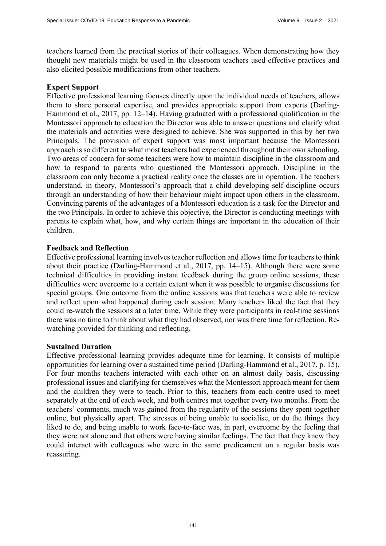teachers learned from the practical stories of their colleagues. When demonstrating how they thought new materials might be used in the classroom teachers used effective practices and also elicited possible modifications from other teachers.

## **Expert Support**

Effective professional learning focuses directly upon the individual needs of teachers, allows them to share personal expertise, and provides appropriate support from experts (Darling-Hammond et al., 2017, pp. 12–14). Having graduated with a professional qualification in the Montessori approach to education the Director was able to answer questions and clarify what the materials and activities were designed to achieve. She was supported in this by her two Principals. The provision of expert support was most important because the Montessori approach is so different to what most teachers had experienced throughout their own schooling. Two areas of concern for some teachers were how to maintain discipline in the classroom and how to respond to parents who questioned the Montessori approach. Discipline in the classroom can only become a practical reality once the classes are in operation. The teachers understand, in theory, Montessori's approach that a child developing self-discipline occurs through an understanding of how their behaviour might impact upon others in the classroom. Convincing parents of the advantages of a Montessori education is a task for the Director and the two Principals. In order to achieve this objective, the Director is conducting meetings with parents to explain what, how, and why certain things are important in the education of their children.

## **Feedback and Reflection**

Effective professional learning involves teacher reflection and allows time for teachers to think about their practice (Darling-Hammond et al., 2017, pp. 14–15). Although there were some technical difficulties in providing instant feedback during the group online sessions, these difficulties were overcome to a certain extent when it was possible to organise discussions for special groups. One outcome from the online sessions was that teachers were able to review and reflect upon what happened during each session. Many teachers liked the fact that they could re-watch the sessions at a later time. While they were participants in real-time sessions there was no time to think about what they had observed, nor was there time for reflection. Rewatching provided for thinking and reflecting.

#### **Sustained Duration**

Effective professional learning provides adequate time for learning. It consists of multiple opportunities for learning over a sustained time period (Darling-Hammond et al., 2017, p. 15). For four months teachers interacted with each other on an almost daily basis, discussing professional issues and clarifying for themselves what the Montessori approach meant for them and the children they were to teach. Prior to this, teachers from each centre used to meet separately at the end of each week, and both centres met together every two months. From the teachers' comments, much was gained from the regularity of the sessions they spent together online, but physically apart. The stresses of being unable to socialise, or do the things they liked to do, and being unable to work face-to-face was, in part, overcome by the feeling that they were not alone and that others were having similar feelings. The fact that they knew they could interact with colleagues who were in the same predicament on a regular basis was reassuring.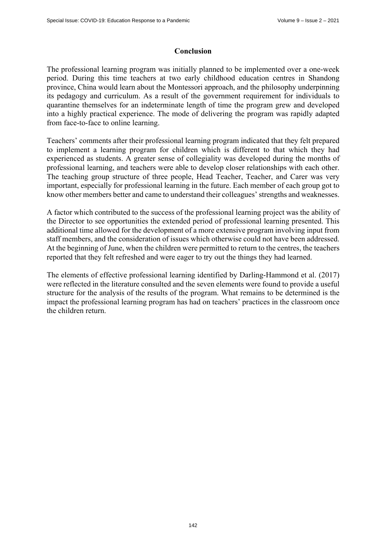## **Conclusion**

The professional learning program was initially planned to be implemented over a one-week period. During this time teachers at two early childhood education centres in Shandong province, China would learn about the Montessori approach, and the philosophy underpinning its pedagogy and curriculum. As a result of the government requirement for individuals to quarantine themselves for an indeterminate length of time the program grew and developed into a highly practical experience. The mode of delivering the program was rapidly adapted from face-to-face to online learning.

Teachers' comments after their professional learning program indicated that they felt prepared to implement a learning program for children which is different to that which they had experienced as students. A greater sense of collegiality was developed during the months of professional learning, and teachers were able to develop closer relationships with each other. The teaching group structure of three people, Head Teacher, Teacher, and Carer was very important, especially for professional learning in the future. Each member of each group got to know other members better and came to understand their colleagues' strengths and weaknesses.

A factor which contributed to the success of the professional learning project was the ability of the Director to see opportunities the extended period of professional learning presented. This additional time allowed for the development of a more extensive program involving input from staff members, and the consideration of issues which otherwise could not have been addressed. At the beginning of June, when the children were permitted to return to the centres, the teachers reported that they felt refreshed and were eager to try out the things they had learned.

The elements of effective professional learning identified by Darling-Hammond et al. (2017) were reflected in the literature consulted and the seven elements were found to provide a useful structure for the analysis of the results of the program. What remains to be determined is the impact the professional learning program has had on teachers' practices in the classroom once the children return.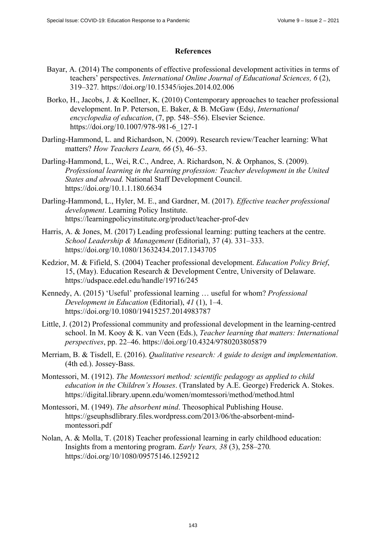## **References**

- Bayar, A. (2014) The components of effective professional development activities in terms of teachers' perspectives. *International Online Journal of Educational Sciences, 6* (2), 319–327*.* <https://doi.org/10.15345/iojes.2014.02.006>
- Borko, H., Jacobs, J. & Koellner, K. (2010) Contemporary approaches to teacher professional development. In P. Peterson, E. Baker, & B. McGaw (Eds*)*, *International encyclopedia of education*, (7, pp. 548–556). Elsevier Science. [https://doi.org/10.1007/978-981-6\\_127-1](https://doi.org/10.1007/978-981-6_127-1)
- Darling-Hammond, L. and Richardson, N. (2009). Research review/Teacher learning: What matters? *How Teachers Learn, 66* (5), 46–53.
- Darling-Hammond, L., Wei, R.C., Andree, A. Richardson, N. & Orphanos, S. (2009). *Professional learning in the learning profession: Teacher development in the United States and abroad.* National Staff Development Council. <https://doi.org/10.1.1.180.6634>
- Darling-Hammond, L., Hyler, M. E., and Gardner, M. (2017). *Effective teacher professional development*. Learning Policy Institute. <https://learningpolicyinstitute.org/product/teacher-prof-dev>
- Harris, A. & Jones, M. (2017) Leading professional learning: putting teachers at the centre. *School Leadership & Management* (Editorial), 37 (4). 331–333. <https://doi.org/10.1080/13632434.2017.1343705>
- Kedzior, M. & Fifield, S. (2004) Teacher professional development. *Education Policy Brief*, 15, (May). Education Research & Development Centre, University of Delaware. <https://udspace.edel.edu/handle/19716/245>
- Kennedy, A. (2015) 'Useful' professional learning … useful for whom? *Professional Development in Education* (Editorial), *41* (1), 1–4. <https://doi.org/10.1080/19415257.2014983787>
- Little, J. (2012) Professional community and professional development in the learning-centred school. In M. Kooy & K. van Veen (Eds.), *Teacher learning that matters: International perspectives*, pp. 22–46. <https://doi.org/10.4324/9780203805879>
- Merriam, B. & Tisdell, E. (2016). *Qualitative research: A guide to design and implementation*. (4th ed.). Jossey-Bass.
- Montessori, M. (1912). *The Montessori method: scientific pedagogy as applied to child education in the Children's Houses*. (Translated by A.E. George) Frederick A. Stokes. <https://digital.library.upenn.edu/women/momtessori/method/method.html>
- Montessori, M. (1949). *The absorbent mind*. Theosophical Publishing House. [https://gseuphsdlibrary.files.wordpress.com/2013/06/the-absorbent-mind](https://gseuphsdlibrary.files.wordpress.com/2013/06/the-absorbent-mind-montessori.pdf)montessori[.pdf](https://gseuphsdlibrary.files.wordpress.com/2013/06/the-absorbent-mind-montessori.pdf)
- Nolan, A. & Molla, T. (2018) Teacher professional learning in early childhood education: Insights from a mentoring program. *Early Years, 38* (3), 258–270*.*  <https://doi.org/10/1080/09575146.1259212>